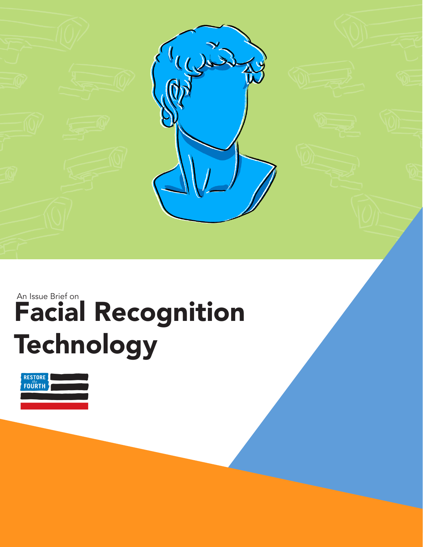

# Facial Recognition **Technology** An Issue Brief on

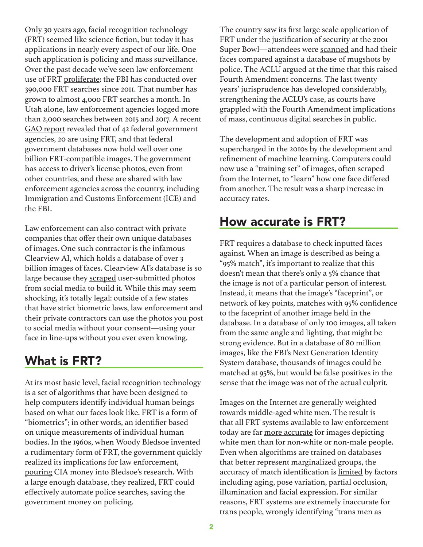Only 30 years ago, facial recognition technology (FRT) seemed like science fiction, but today it has applications in nearly every aspect of our life. One such application is policing and mass surveillance. Over the past decade we've seen law enforcement use of FRT [proliferate](https://www.washingtonpost.com/technology/2019/07/07/fbi-ice-find-state-drivers-license-photos-are-gold-mine-facial-recognition-searches/): the FBI has conducted over 390,000 FRT searches since 2011. That number has grown to almost 4,000 FRT searches a month. In Utah alone, law enforcement agencies logged more than 2,000 searches between 2015 and 2017. A recent [GAO report](https://www.gao.gov/assets/gao-21-518.pdf) revealed that of 42 federal government agencies, 20 are using FRT, and that federal government databases now hold well over one billion FRT-compatible images. The government has access to driver's license photos, even from other countries, and these are shared with law enforcement agencies across the country, including Immigration and Customs Enforcement (ICE) and the FBI.

Law enforcement can also contract with private companies that offer their own unique databases of images. One such contractor is the infamous Clearview AI, which holds a database of over 3 billion images of faces. Clearview AI's database is so large because they [scraped](https://arstechnica.com/tech-policy/2020/02/facebook-youtube-order-clearview-to-stop-scraping-them-for-faces-to-match/) user-submitted photos from social media to build it. While this may seem shocking, it's totally legal: outside of a few states that have strict biometric laws, law enforcement and their private contractors can use the photos you post to social media without your consent—using your face in line-ups without you ever even knowing.

## What is FRT?

At its most basic level, facial recognition technology is a set of algorithms that have been designed to help computers identify individual human beings based on what our faces look like. FRT is a form of "biometrics"; in other words, an identifier based on unique measurements of individual human bodies. In the 1960s, when Woody Bledsoe invented a rudimentary form of FRT, the government quickly realized its implications for law enforcement, [pouring](https://www.wired.com/story/secret-history-facial-recognition/) CIA money into Bledsoe's research. With a large enough database, they realized, FRT could effectively automate police searches, saving the government money on policing.

The country saw its first large scale application of FRT under the justification of security at the 2001 Super Bowl—attendees were [scanned](https://www.wired.com/2001/02/call-it-super-bowl-face-scan-i/) and had their faces compared against a database of mugshots by police. The ACLU argued at the time that this raised Fourth Amendment concerns. The last twenty years' jurisprudence has developed considerably, strengthening the ACLU's case, as courts have grappled with the Fourth Amendment implications of mass, continuous digital searches in public.

The development and adoption of FRT was supercharged in the 2010s by the development and refinement of machine learning. Computers could now use a "training set" of images, often scraped from the Internet, to "learn" how one face differed from another. The result was a sharp increase in accuracy rates.

### How accurate is FRT?

FRT requires a database to check inputted faces against. When an image is described as being a "95% match", it's important to realize that this doesn't mean that there's only a 5% chance that the image is not of a particular person of interest. Instead, it means that the image's "faceprint", or network of key points, matches with 95% confidence to the faceprint of another image held in the database. In a database of only 100 images, all taken from the same angle and lighting, that might be strong evidence. But in a database of 80 million images, like the FBI's Next Generation Identity System database, thousands of images could be matched at 95%, but would be false positives in the sense that the image was not of the actual culprit.

Images on the Internet are generally weighted towards middle-aged white men. The result is that all FRT systems available to law enforcement today are far [more accurate](http://proceedings.mlr.press/v81/buolamwini18a.html) for images depicting white men than for non-white or non-male people. Even when algorithms are trained on databases that better represent marginalized groups, the accuracy of match identification is [limited](https://www.researchgate.net/publication/337446642_A_Comprehensive_Review_on_Face_Recognition_Methods_and_Factors_Affecting_Facial_Recognition_Accuracy) by factors including aging, pose variation, partial occlusion, illumination and facial expression. For similar reasons, FRT systems are extremely inaccurate for trans people, wrongly identifying "trans men as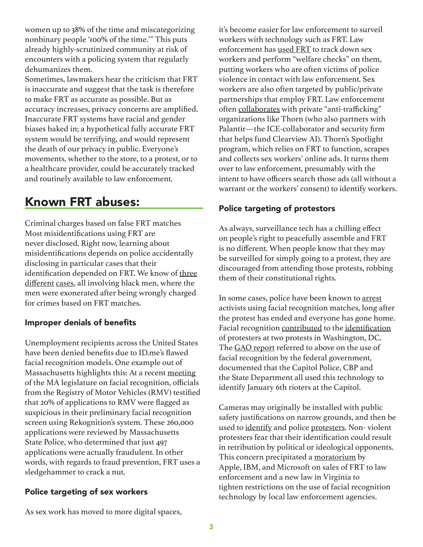women up to 38% of the time and miscategorizing nonbinary people '100% of the time.'" This puts already highly-scrutinized community at risk of encounters with a policing system that regularly dehumanizes them.

Sometimes, lawmakers hear the criticism that FRT is inaccurate and suggest that the task is therefore to make FRT as accurate as possible. But as accuracy increases, privacy concerns are amplified. Inaccurate FRT systems have racial and gender biases baked in; a hypothetical fully accurate FRT system would be terrifying, and would represent the death of our privacy in public. Everyone's movements, whether to the store, to a protest, or to a healthcare provider, could be accurately tracked and routinely available to law enforcement.

# Known FRT abuses:

Criminal charges based on false FRT matches Most misidentifications using FRT are never disclosed. Right now, learning about misidentifications depends on police accidentally disclosing in particular cases that their identification depended on FRT. We know of [three](https://www.freep.com/story/news/local/michigan/detroit/2020/07/10/facial-recognition-detroit-michael-oliver-robert-williams/5392166002/) [different](https://www.documentcloud.org/documents/20462295-ousmane-bah-v-apple) [cases](https://www.theverge.com/2021/4/13/22382398/robert-williams-detroit-police-department-aclu-lawsuit-facial-recognition-wrongful-arrest), all involving black men, where the men were exonerated after being wrongly charged for crimes based on FRT matches.

#### Improper denials of benefits

Unemployment recipients across the United States have been denied benefits due to ID.me's flawed facial recognition models. One example out of Massachusetts highlights this: At a recent [meeting](https://malegislature.gov/Events/Hearings/Detail/3729) of the MA legislature on facial recognition, officials from the Registry of Motor Vehicles (RMV) testified that 20% of applications to RMV were flagged as suspicious in their preliminary facial recognition screen using Rekognition's system. These 260,000 applications were reviewed by Massachusetts State Police, who determined that just 497 applications were actually fraudulent. In other words, with regards to fraud prevention, FRT uses a sledgehammer to crack a nut.

#### Police targeting of sex workers

it's become easier for law enforcement to surveil workers with technology such as FRT. Law enforcement has [used FRT](https://www.newstatesman.com/science-tech/privacy/2019/05/how-facial-recognition-being-used-target-sex-workers) to track down sex workers and perform "welfare checks" on them, putting workers who are often victims of police violence in contact with law enforcement. Sex workers are also often targeted by public/private partnerships that employ FRT. Law enforcement often [collaborates](https://www.bloomberg.com/news/articles/2020-12-10/why-big-tech-wants-some-facial-recognition-rules-quicktake) with private "anti-trafficking" organizations like Thorn (who also partners with Palantir—the ICE-collaborator and security firm that helps fund Clearview AI). Thorn's Spotlight program, which relies on FRT to function, scrapes and collects sex workers' online ads. It turns them over to law enforcement, presumably with the intent to have officers search those ads (all without a warrant or the workers' consent) to identify workers.

#### Police targeting of protestors

As always, surveillance tech has a chilling effect on people's right to peacefully assemble and FRT is no different. When people know that they may be surveilled for simply going to a protest, they are discouraged from attending those protests, robbing them of their constitutional rights.

In some cases, police have been known to [arrest](https://www.nbcmiami.com/investigations/miami-police-used-facial-recognition-technology-in-protesters-arrest/2278848/) activists using facial recognition matches, long after the protest has ended and everyone has gone home. Facial recognition [contributed](https://www.washingtonpost.com/local/legal-issues/facial-recognition-protests-lafayette-square/2020/11/02/64b03286-ec86-11ea-b4bc-3a2098fc73d4_story.html) to the [identification](https://www.washingtonpost.com/technology/2021/04/02/capitol-siege-arrests-technology-fbi-privacy/) of protesters at two protests in Washington, DC. The [GAO report](https://www.washingtonpost.com/technology/2021/04/02/capitol-siege-arrests-technology-fbi-privacy/) referred to above on the use of facial recognition by the federal government, documented that the Capitol Police, CBP and the State Department all used this technology to identify January 6th rioters at the Capitol.

Cameras may originally be installed with public safety justifications on narrow grounds, and then be used to [identify](https://www.sandiegouniontribune.com/opinion/the-conversation/sd-san-diego-street-light-sensors-camera-for-law-enforcement-use-20190319-htmlstory.html) and police [protesters](https://www.theverge.com/2020/8/18/21373316/nypd-facial-recognition-black-lives-matter-activist-derrick-ingram). Non- violent protesters fear that their identification could result in retribution by political or ideological opponents. This concern precipitated a [moratorium](https://www.vox.com/recode/2020/6/10/21287194/amazon-microsoft-ibm-facial-recognition-moratorium-police) by Apple, IBM, and Microsoft on sales of FRT to law enforcement and a new law in Virginia to tighten restrictions on the use of facial recognition technology by local law enforcement agencies.

As sex work has moved to more digital spaces,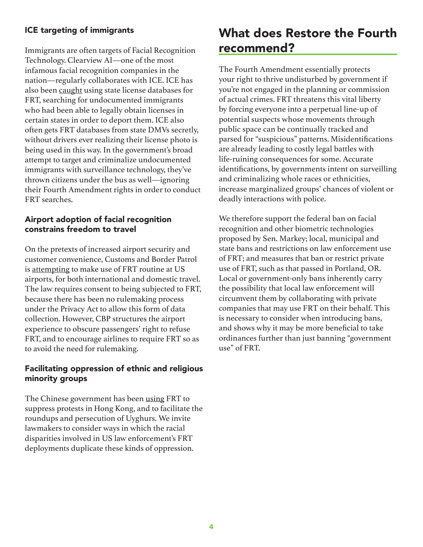#### ICE targeting of immigrants

Immigrants are often targets of Facial Recognition Technology. Clearview AI—one of the most infamous facial recognition companies in the nation—regularly collaborates with ICE. ICE has also been [caught](https://www.npr.org/2019/07/08/739491857/ice-uses-facial-recognition-to-sift-state-drivers-license-records-researchers-sa) using state license databases for FRT, searching for undocumented immigrants who had been able to legally obtain licenses in certain states in order to deport them. ICE also often gets FRT databases from state DMVs secretly, without drivers ever realizing their license photo is being used in this way. In the government's broad attempt to target and criminalize undocumented immigrants with surveillance technology, they've thrown citizens under the bus as well—ignoring their Fourth Amendment rights in order to conduct FRT searches.

#### Airport adoption of facial recognition constrains freedom to travel

On the pretexts of increased airport security and customer convenience, Customs and Border Patrol is [attempting](https://biometrics.cbp.gov/) to make use of FRT routine at US airports, for both international and domestic travel. The law requires consent to being subjected to FRT, because there has been no rulemaking process under the Privacy Act to allow this form of data collection. However, CBP structures the airport experience to obscure passengers' right to refuse FRT, and to encourage airlines to require FRT so as to avoid the need for rulemaking.

#### Facilitating oppression of ethnic and religious minority groups

The Chinese government has been [using](https://www.nytimes.com/2019/04/14/technology/china-surveillance-artificial-intelligence-racial-profiling.html) FRT to suppress protests in Hong Kong, and to facilitate the roundups and persecution of Uyghurs. We invite lawmakers to consider ways in which the racial disparities involved in US law enforcement's FRT deployments duplicate these kinds of oppression.

# What does Restore the Fourth recommend?

The Fourth Amendment essentially protects your right to thrive undisturbed by government if you're not engaged in the planning or commission of actual crimes. FRT threatens this vital liberty by forcing everyone into a perpetual line-up of potential suspects whose movements through public space can be continually tracked and parsed for "suspicious" patterns. Misidentifications are already leading to costly legal battles with life-ruining consequences for some. Accurate identifications, by governments intent on surveilling and criminalizing whole races or ethnicities, increase marginalized groups' chances of violent or deadly interactions with police.

We therefore support the federal ban on facial recognition and other biometric technologies proposed by Sen. Markey; local, municipal and state bans and restrictions on law enforcement use of FRT; and measures that ban or restrict private use of FRT, such as that passed in Portland, OR. Local or government-only bans inherently carry the possibility that local law enforcement will circumvent them by collaborating with private companies that may use FRT on their behalf. This is necessary to consider when introducing bans, and shows why it may be more beneficial to take ordinances further than just banning "government use" of FRT.